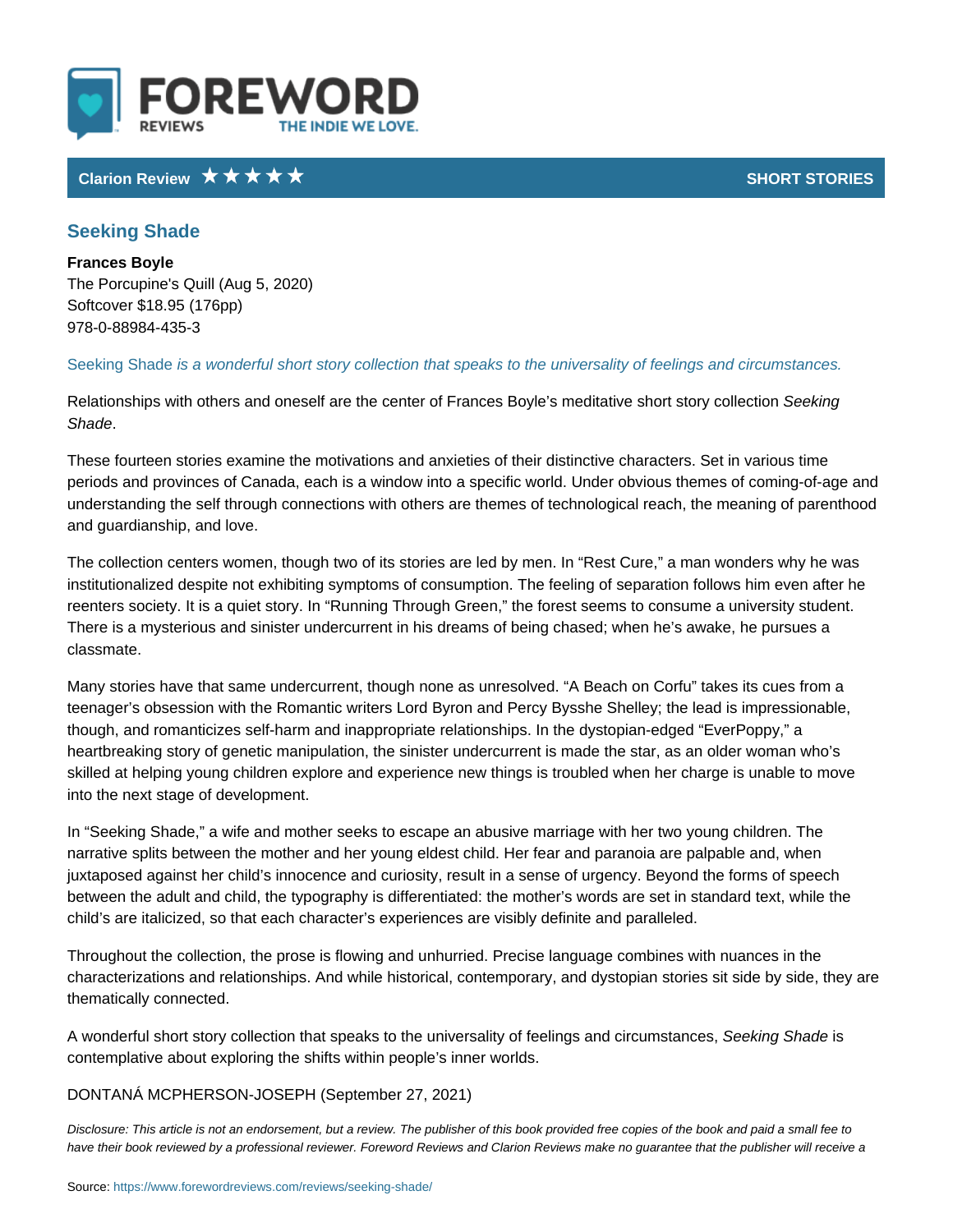## Clarion Review SHORT STO

## Seeking Shade

Frances Boyle The Porcupine's Quill (Aug 5, 2020) Softcover \$18.95 (176pp) 978-0-88984-435-3

Seeking Shade wonderful short story collection that speaks to the universality o

Relationships with others and oneself are the center of Frances Bogkeng medita Shade .

These fourteen stories examine the motivations and anxieties of their distinctiv periods and provinces of Canada, each is a window into a specific world. Under understanding the self through connections with others are themes of technolog and guardianship, and love.

The collection centers women, though two of its stories are led by men. In Res institutionalized despite not exhibiting symptoms of consumption. The feeling o reenters society. It is a quiet story. In Running Through Green, the forest see There is a mysterious and sinister undercurrent in his dreams of being chased; classmate.

Many stories have that same undercurrent, though none as unresolved. A Beac teenager s obsession with the Romantic writers Lord Byron and Percy Bysshe S though, and romanticizes self-harm and inappropriate relationships. In the dyst heartbreaking story of genetic manipulation, the sinister undercurrent is made skilled at helping young children explore and experience new things is troubled into the next stage of development.

In Seeking Shade, a wife and mother seeks to escape an abusive marriage wit narrative splits between the mother and her young eldest child. Her fear and pa juxtaposed against her child s innocence and curiosity, result in a sense of urg between the adult and child, the typography is differentiated: the mother s word child s are italicized, so that each character s experiences are visibly definite

Throughout the collection, the prose is flowing and unhurried. Precise language characterizations and relationships. And while historical, contemporary, and dy thematically connected.

A wonderful short story collection that speaks to the univerSseadiktiynog fSffiesediengs an contemplative about exploring the shifts within people s inner worlds.

## DONTANÁ MCPHERSON(SO<sub>D</sub>StEePhHber 27, 2021)

Disclosure: This article is not an endorsement, but a review. The publisher of this book provided fr have their book reviewed by a professional reviewer. Foreword Reviews and Clarion Reviews make